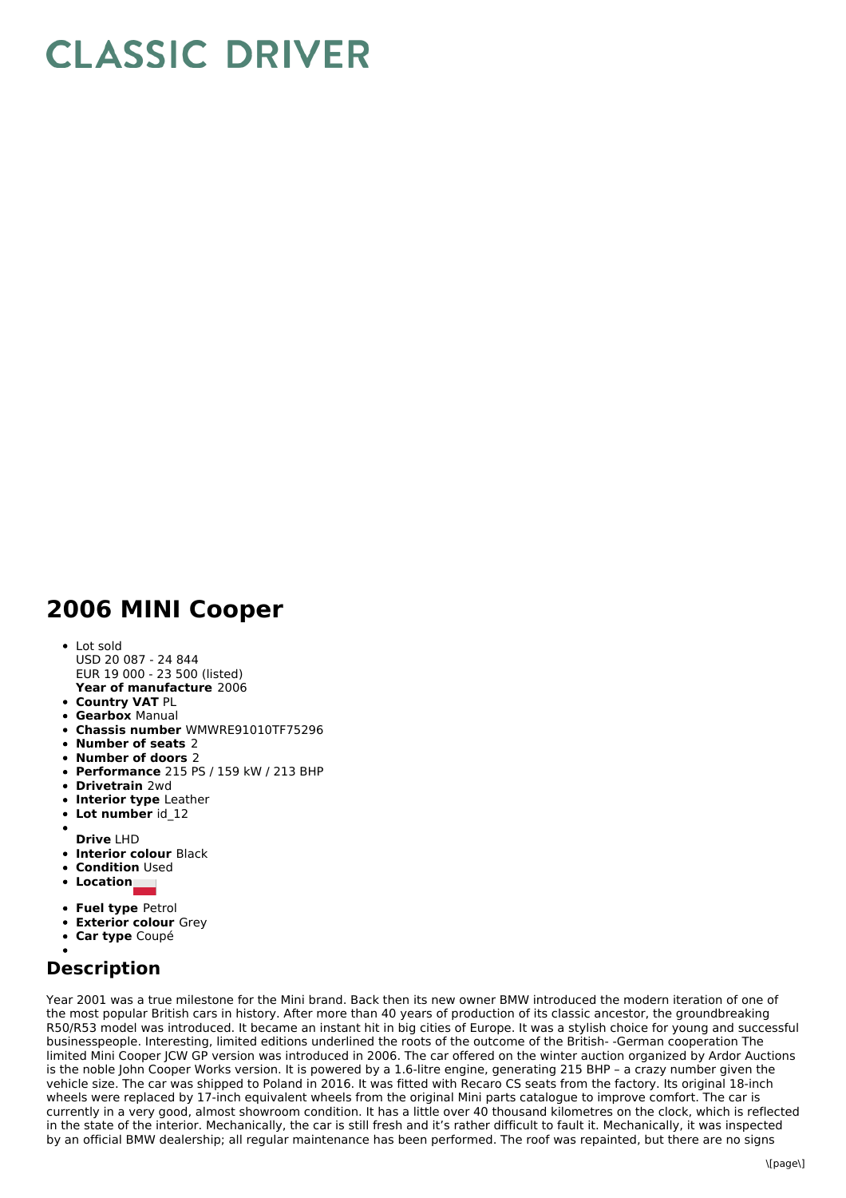## **CLASSIC DRIVER**

## **2006 MINI Cooper**

- **Year of manufacture** 2006 Lot sold USD 20 087 - 24 844 EUR 19 000 - 23 500 (listed)
- **Country VAT** PL
- **Gearbox** Manual
- **Chassis number** WMWRE91010TF75296
- **Number of seats** 2
- **Number of doors** 2
- **Performance** 215 PS / 159 kW /213 BHP
- **Drivetrain** 2wd
- **Interior type** Leather
- $\bullet$ **Lot number** id\_12
- **Drive** LHD
- **Interior colour** Black
- **Condition** Used
- **Location**
- 
- **Fuel type** Petrol
- **Exterior colour** Grey
- **Car type** Coupé

## **Description**

Year 2001 was a true milestone for the Mini brand. Back then its new owner BMW introduced the modern iteration of one of the most popular British cars in history. After more than 40 years of production of its classic ancestor, the groundbreaking R50/R53 model was introduced. It became an instant hit in big cities of Europe. It was a stylish choice for young and successful businesspeople. Interesting, limited editions underlined the roots of the outcome of the British- -German cooperation The limited Mini Cooper JCW GP version was introduced in 2006. The car offered on the winter auction organized by Ardor Auctions is the noble John Cooper Works version. It is powered by a 1.6-litre engine, generating 215 BHP – a crazy number given the vehicle size. The car was shipped to Poland in 2016. It was fitted with Recaro CS seats from the factory. Its original 18-inch wheels were replaced by 17-inch equivalent wheels from the original Mini parts catalogue to improve comfort. The car is currently in a very good, almost showroom condition. It has a little over 40 thousand kilometres on the clock, which is reflected in the state of the interior. Mechanically, the car is still fresh and it's rather difficult to fault it. Mechanically, it was inspected by an official BMW dealership; all regular maintenance has been performed. The roof was repainted, but there are no signs